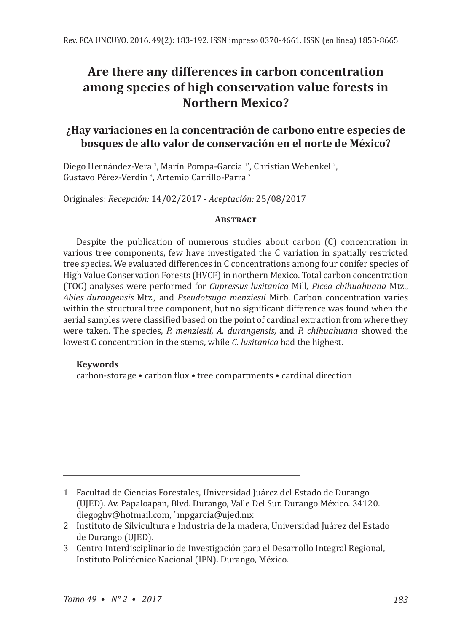# **Are there any differences in carbon concentration among species of high conservation value forests in Northern Mexico?**

## **¿Hay variaciones en la concentración de carbono entre especies de bosques de alto valor de conservación en el norte de México?**

Diego Hernández-Vera <sup>1</sup>, Marín Pompa-García <sup>1</sup>°, Christian Wehenkel <sup>2</sup>, Gustavo Pérez-Verdín <sup>3</sup>, Artemio Carrillo-Parra <sup>2</sup>

Originales: *Recepción:* 14/02/2017 - *Aceptación:* 25/08/2017

#### **Abstract**

Despite the publication of numerous studies about carbon (C) concentration in various tree components, few have investigated the C variation in spatially restricted tree species. We evaluated differences in C concentrations among four conifer species of High Value Conservation Forests (HVCF) in northern Mexico. Total carbon concentration (TOC) analyses were performed for *Cupressus lusitanica* Mill*, Picea chihuahuana* Mtz., *Abies durangensis* Mtz*.,* and *Pseudotsuga menziesii* Mirb. Carbon concentration varies within the structural tree component, but no significant difference was found when the aerial samples were classified based on the point of cardinal extraction from where they were taken. The species, *P. menziesii, A. durangensis,* and *P. chihuahuana* showed the lowest C concentration in the stems, while *C. lusitanica* had the highest.

#### **Keywords**

carbon-storage • carbon flux • tree compartments • cardinal direction

<sup>1</sup> Facultad de Ciencias Forestales, Universidad Juárez del Estado de Durango (UJED). Av. Papaloapan, Blvd. Durango, Valle Del Sur. Durango México. 34120. diegoghv@hotmail.com, \* mpgarcia@ujed.mx

<sup>2</sup> Instituto de Silvicultura e Industria de la madera, Universidad Juárez del Estado de Durango (UJED).

<sup>3</sup> Centro Interdisciplinario de Investigación para el Desarrollo Integral Regional, Instituto Politécnico Nacional (IPN). Durango, México.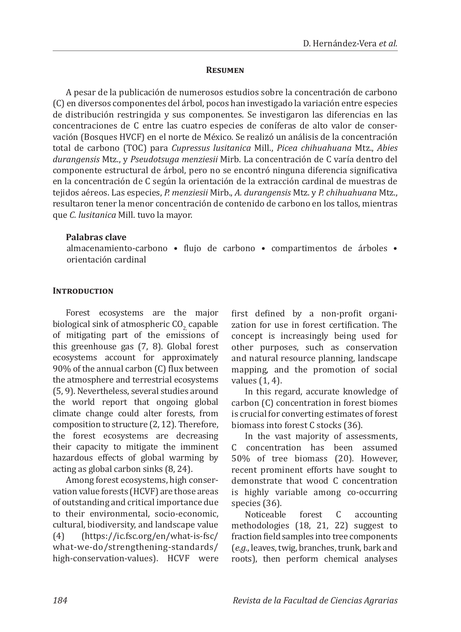#### **Resumen**

A pesar de la publicación de numerosos estudios sobre la concentración de carbono (C) en diversos componentes del árbol, pocos han investigado la variación entre especies de distribución restringida y sus componentes. Se investigaron las diferencias en las concentraciones de C entre las cuatro especies de coníferas de alto valor de conservación (Bosques HVCF) en el norte de México. Se realizó un análisis de la concentración total de carbono (TOC) para *Cupressus lusitanica* Mill., *Picea chihuahuana* Mtz., *Abies durangensis* Mtz., y *Pseudotsuga menziesii* Mirb. La concentración de C varía dentro del componente estructural de árbol, pero no se encontró ninguna diferencia significativa en la concentración de C según la orientación de la extracción cardinal de muestras de tejidos aéreos. Las especies, *P. menziesii* Mirb., *A. durangensis* Mtz. y *P. chihuahuana* Mtz., resultaron tener la menor concentración de contenido de carbono en los tallos, mientras que *C. lusitanica* Mill. tuvo la mayor.

## **Palabras clave**

almacenamiento-carbono • flujo de carbono • compartimentos de árboles • orientación cardinal

## **INTRODUCTION**

Forest ecosystems are the major biological sink of atmospheric CO<sub>2</sub> capable of mitigating part of the emissions of this greenhouse gas (7, 8). Global forest ecosystems account for approximately 90% of the annual carbon (C) flux between the atmosphere and terrestrial ecosystems (5, 9). Nevertheless, several studies around the world report that ongoing global climate change could alter forests, from composition to structure (2, 12). Therefore, the forest ecosystems are decreasing their capacity to mitigate the imminent hazardous effects of global warming by acting as global carbon sinks (8, 24).

Among forest ecosystems, high conservation value forests (HCVF) are those areas of outstanding and critical importance due to their environmental, socio-economic, cultural, biodiversity, and landscape value<br>(4) thttps://ic.fsc.org/en/what-is-fsc/ (4) (https://ic.fsc.org/en/what-is-fsc/ what-we-do/strengthening-standards/ high-conservation-values). HCVF were first defined by a non-profit organization for use in forest certification. The concept is increasingly being used for other purposes, such as conservation and natural resource planning, landscape mapping, and the promotion of social values (1, 4).

In this regard, accurate knowledge of carbon (C) concentration in forest biomes is crucial for converting estimates of forest biomass into forest C stocks (36).

In the vast majority of assessments, C concentration has been assumed 50% of tree biomass (20). However, recent prominent efforts have sought to demonstrate that wood C concentration is highly variable among co-occurring species (36).<br>Noticeable

forest C accounting methodologies (18, 21, 22) suggest to fraction field samples into tree components (*e.g.*, leaves, twig, branches, trunk, bark and roots), then perform chemical analyses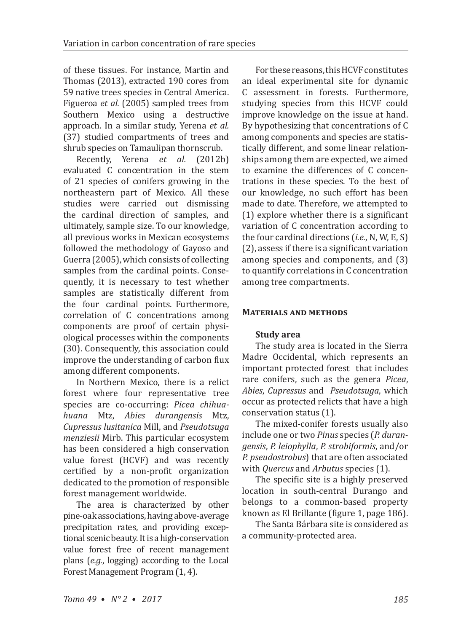of these tissues. For instance, Martin and Thomas (2013), extracted 190 cores from 59 native trees species in Central America. Figueroa *et al.* (2005) sampled trees from Southern Mexico using a destructive approach. In a similar study, Yerena *et al.* (37) studied compartments of trees and shrub species on Tamaulipan thornscrub.<br>Recently. Yerena *et al.* (2012b)

Recently, Yerena *et al.* evaluated C concentration in the stem of 21 species of conifers growing in the northeastern part of Mexico. All these studies were carried out dismissing the cardinal direction of samples, and ultimately, sample size. To our knowledge, all previous works in Mexican ecosystems followed the methodology of Gayoso and Guerra (2005), which consists of collecting samples from the cardinal points. Consequently, it is necessary to test whether samples are statistically different from the four cardinal points. Furthermore, correlation of C concentrations among components are proof of certain physiological processes within the components (30). Consequently, this association could improve the understanding of carbon flux among different components.

In Northern Mexico, there is a relict forest where four representative tree species are co-occurring: *Picea chihuahuana* Mtz, *Abies durangensis* Mtz, *Cupressus lusitanica* Mill, and *Pseudotsuga menziesii* Mirb. This particular ecosystem has been considered a high conservation value forest (HCVF) and was recently certified by a non-profit organization dedicated to the promotion of responsible forest management worldwide.

The area is characterized by other pine-oak associations, having above-average precipitation rates, and providing exceptional scenic beauty. It is a high-conservation value forest free of recent management plans (*e.g.*, logging) according to the Local Forest Management Program (1, 4).

For these reasons, this HCVF constitutes an ideal experimental site for dynamic C assessment in forests. Furthermore, studying species from this HCVF could improve knowledge on the issue at hand. By hypothesizing that concentrations of C among components and species are statistically different, and some linear relationships among them are expected, we aimed to examine the differences of C concentrations in these species. To the best of our knowledge, no such effort has been made to date. Therefore, we attempted to (1) explore whether there is a significant variation of C concentration according to the four cardinal directions (*i.e.*, N, W, E, S) (2), assess if there is a significant variation among species and components, and (3) to quantify correlations in C concentration among tree compartments.

## **Materials and methods**

## **Study area**

The study area is located in the Sierra Madre Occidental, which represents an important protected forest that includes rare conifers, such as the genera *Picea*, *Abies*, *Cupressus* and *Pseudotsuga*, which occur as protected relicts that have a high conservation status (1).

The mixed-conifer forests usually also include one or two *Pinus* species (*P. durangensis*, *P. leiophylla*, *P. strobiformis*, and/or *P. pseudostrobus*) that are often associated with *Quercus* and *Arbutus* species (1).

The specific site is a highly preserved location in south-central Durango and belongs to a common-based property known as El Brillante (figure 1, page 186).

The Santa Bárbara site is considered as a community-protected area.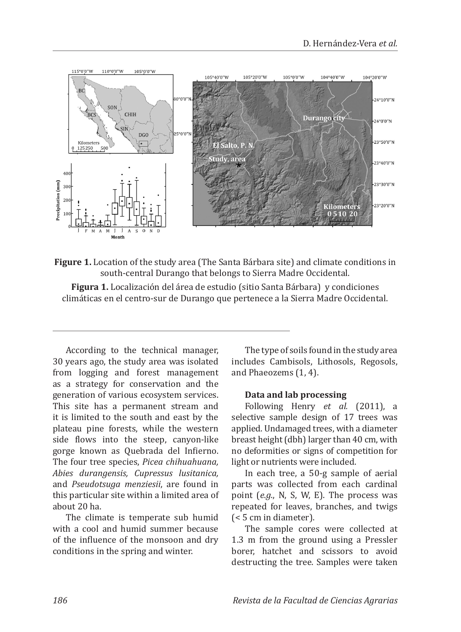

**Figure 1.** Location of the study area (The Santa Bárbara site) and climate conditions in south-central Durango that belongs to Sierra Madre Occidental.

**Figura 1.** Localización del área de estudio (sitio Santa Bárbara) y condiciones climáticas en el centro-sur de Durango que pertenece a la Sierra Madre Occidental.

According to the technical manager, 30 years ago, the study area was isolated from logging and forest management as a strategy for conservation and the generation of various ecosystem services. This site has a permanent stream and it is limited to the south and east by the plateau pine forests, while the western side flows into the steep, canyon-like gorge known as Quebrada del Infierno. The four tree species, *Picea chihuahuana, Abies durangensis, Cupressus lusitanica,*  and *Pseudotsuga menziesii*, are found in this particular site within a limited area of about 20 ha.

The climate is temperate sub humid with a cool and humid summer because of the influence of the monsoon and dry conditions in the spring and winter.

The type of soils found in the study area includes Cambisols, Lithosols, Regosols, and Phaeozems (1, 4).

#### **Data and lab processing**

Following Henry *et al.* (2011), a selective sample design of 17 trees was applied. Undamaged trees, with a diameter breast height (dbh) larger than 40 cm, with no deformities or signs of competition for light or nutrients were included.

In each tree, a 50-g sample of aerial parts was collected from each cardinal point (*e.g.*, N, S, W, E). The process was repeated for leaves, branches, and twigs (< 5 cm in diameter).

The sample cores were collected at 1.3 m from the ground using a Pressler borer, hatchet and scissors to avoid destructing the tree. Samples were taken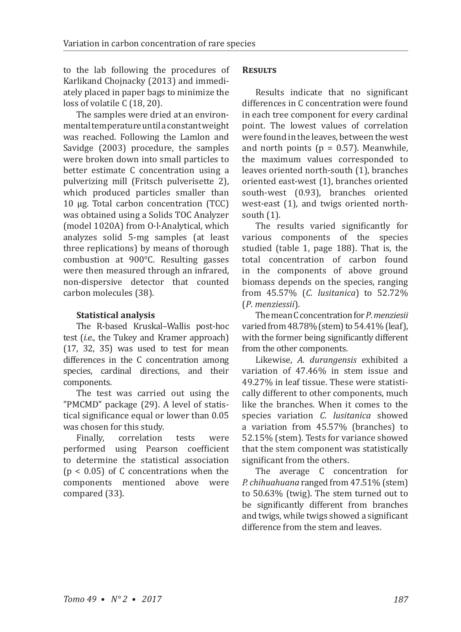to the lab following the procedures of Karlikand Chojnacky (2013) and immediately placed in paper bags to minimize the loss of volatile C (18, 20).

The samples were dried at an environmental temperature until a constant weight was reached. Following the Lamlon and Savidge (2003) procedure, the samples were broken down into small particles to better estimate C concentration using a pulverizing mill (Fritsch pulverisette 2), which produced particles smaller than 10 μg. Total carbon concentration (TCC) was obtained using a Solids TOC Analyzer (model 1020A) from O·l·Analytical, which analyzes solid 5-mg samples (at least three replications) by means of thorough combustion at 900°C. Resulting gasses were then measured through an infrared, non-dispersive detector that counted carbon molecules (38).

## **Statistical analysis**

The R-based Kruskal–Wallis post-hoc test (*i.e.*, the Tukey and Kramer approach)  $(17, 32, 35)$  was used to test for mean differences in the C concentration among species, cardinal directions, and their components.

The test was carried out using the "PMCMD" package (29). A level of statistical significance equal or lower than 0.05 was chosen for this study.<br>Finally, correlation

correlation tests were performed using Pearson coefficient to determine the statistical association  $(p < 0.05)$  of C concentrations when the components mentioned above were compared (33).

## **Results**

Results indicate that no significant differences in C concentration were found in each tree component for every cardinal point. The lowest values of correlation were found in the leaves, between the west and north points ( $p = 0.57$ ). Meanwhile, the maximum values corresponded to leaves oriented north-south (1), branches oriented east-west (1), branches oriented south-west (0.93), branches oriented west-east (1), and twigs oriented northsouth (1).

The results varied significantly for various components of the species studied (table 1, page 188). That is, the total concentration of carbon found in the components of above ground biomass depends on the species, ranging from 45.57% (*C. lusitanica*) to 52.72% (*P*. *menziessii*).

The mean C concentration for *P*. *menziesii* varied from 48.78% (stem) to 54.41% (leaf), with the former being significantly different from the other components.

Likewise, *A. durangensis* exhibited a variation of 47.46% in stem issue and 49.27% in leaf tissue. These were statistically different to other components, much like the branches. When it comes to the species variation *C. lusitanica* showed a variation from 45.57% (branches) to 52.15% (stem). Tests for variance showed that the stem component was statistically significant from the others.

The average C concentration for *P. chihuahuana* ranged from 47.51% (stem) to 50.63% (twig). The stem turned out to be significantly different from branches and twigs, while twigs showed a significant difference from the stem and leaves.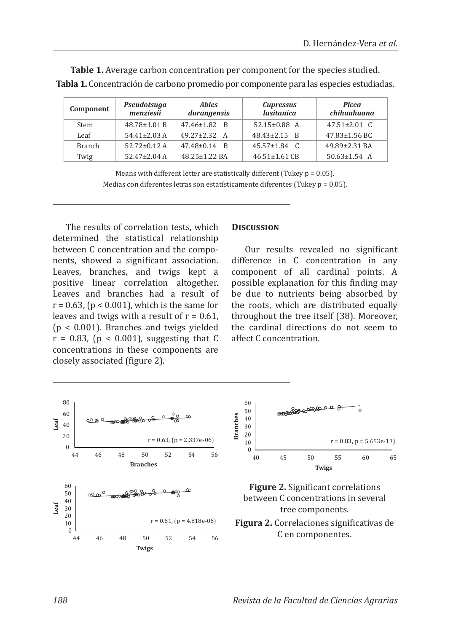| Component     | Pseudotsuga<br>menziesii | <b>Abies</b><br>durangensis | <b>Cupressus</b><br><i>lusitanica</i> | Picea<br>chihuahuana |
|---------------|--------------------------|-----------------------------|---------------------------------------|----------------------|
| Stem          | $48.78 \pm 1.01 B$       | 47.46±1.82 B                | $52.15 \pm 0.88$ A                    | $47.51 \pm 2.01$ C   |
| Leaf          | $54.41 \pm 2.03$ A       | $49.27 + 2.32$ A            | $48.43 \pm 2.15$ B                    | $47.83 \pm 1.56$ BC  |
| <b>Branch</b> | $52.72 \pm 0.12$ A       | $47.48 \pm 0.14$ B          | $45.57 \pm 1.84$ C                    | 49.89±2.31 BA        |
| Twig          | $52.47 \pm 2.04$ A       | 48.25±1.22 BA               | $46.51 \pm 1.61$ CB                   | $50.63 \pm 1.54$ A   |

**Table 1.** Average carbon concentration per component for the species studied. **Tabla 1.** Concentración de carbono promedio por componente para las especies estudiadas.

> Means with different letter are statistically different (Tukey  $p = 0.05$ ). Medias con diferentes letras son estatísticamente diferentes (Tukey p = 0,05).

The results of correlation tests, which determined the statistical relationship between C concentration and the components, showed a significant association. Leaves, branches, and twigs kept a positive linear correlation altogether. Leaves and branches had a result of  $r = 0.63$ ,  $(p < 0.001)$ , which is the same for leaves and twigs with a result of  $r = 0.61$ , (p < 0.001). Branches and twigs yielded  $r = 0.83$ , ( $p < 0.001$ ), suggesting that C concentrations in these components are closely associated (figure 2).

#### **Discussion**

Our results revealed no significant difference in C concentration in any component of all cardinal points. A possible explanation for this finding may be due to nutrients being absorbed by the roots, which are distributed equally throughout the tree itself (38). Moreover, the cardinal directions do not seem to affect C concentration.

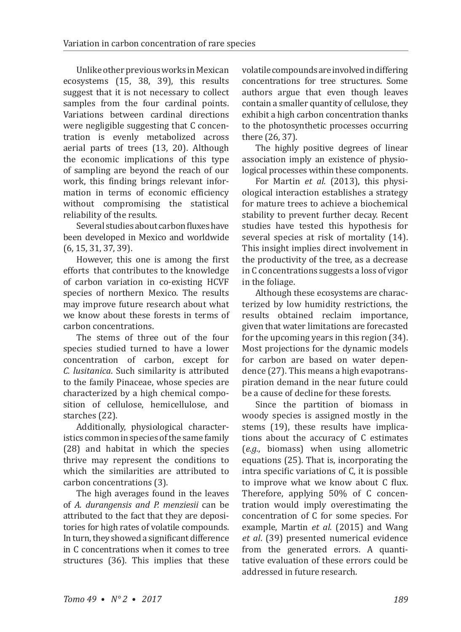Unlike other previous works in Mexican ecosystems (15, 38, 39), this results suggest that it is not necessary to collect samples from the four cardinal points. Variations between cardinal directions were negligible suggesting that C concentration is evenly metabolized across aerial parts of trees (13, 20). Although the economic implications of this type of sampling are beyond the reach of our work, this finding brings relevant information in terms of economic efficiency without compromising the statistical reliability of the results.

Several studies about carbon fluxes have been developed in Mexico and worldwide (6, 15, 31, 37, 39).

However, this one is among the first efforts that contributes to the knowledge of carbon variation in co-existing HCVF species of northern Mexico. The results may improve future research about what we know about these forests in terms of carbon concentrations.

The stems of three out of the four species studied turned to have a lower concentration of carbon, except for *C. lusitanica*. Such similarity is attributed to the family Pinaceae, whose species are characterized by a high chemical composition of cellulose, hemicellulose, and starches (22).

Additionally, physiological characteristics common in species of the same family (28) and habitat in which the species thrive may represent the conditions to which the similarities are attributed to carbon concentrations (3).

The high averages found in the leaves of *A. durangensis and P. menziesii* can be attributed to the fact that they are depositories for high rates of volatile compounds. In turn, they showed a significant difference in C concentrations when it comes to tree structures (36). This implies that these

volatile compounds are involved in differing concentrations for tree structures. Some authors argue that even though leaves contain a smaller quantity of cellulose, they exhibit a high carbon concentration thanks to the photosynthetic processes occurring there (26, 37).

The highly positive degrees of linear association imply an existence of physiological processes within these components.

For Martin *et al.* (2013), this physiological interaction establishes a strategy for mature trees to achieve a biochemical stability to prevent further decay. Recent studies have tested this hypothesis for several species at risk of mortality (14). This insight implies direct involvement in the productivity of the tree, as a decrease in C concentrations suggests a loss of vigor in the foliage.

Although these ecosystems are characterized by low humidity restrictions, the results obtained reclaim importance, given that water limitations are forecasted for the upcoming years in this region (34). Most projections for the dynamic models for carbon are based on water dependence (27). This means a high evapotranspiration demand in the near future could be a cause of decline for these forests.

Since the partition of biomass in woody species is assigned mostly in the stems (19), these results have implications about the accuracy of C estimates (*e.g.*, biomass) when using allometric equations (25). That is, incorporating the intra specific variations of C, it is possible to improve what we know about C flux. Therefore, applying 50% of C concentration would imply overestimating the concentration of C for some species. For example, Martin *et al.* (2015) and Wang *et al*. (39) presented numerical evidence from the generated errors. A quantitative evaluation of these errors could be addressed in future research.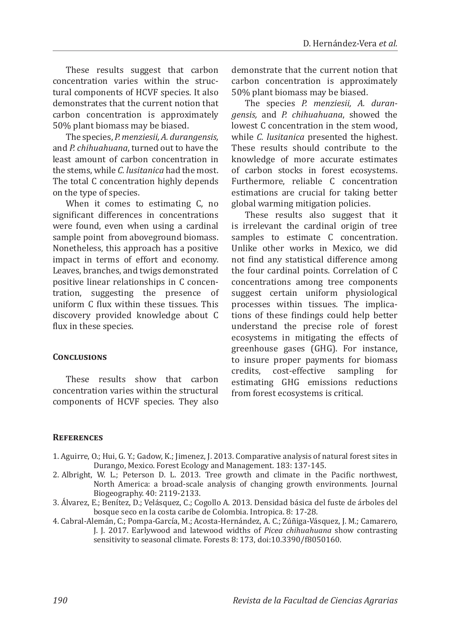These results suggest that carbon concentration varies within the structural components of HCVF species. It also demonstrates that the current notion that carbon concentration is approximately 50% plant biomass may be biased.

The species, *P. menziesii, A. durangensis,* and *P. chihuahuana*, turned out to have the least amount of carbon concentration in the stems, while *C. lusitanica* had the most. The total C concentration highly depends on the type of species.

When it comes to estimating C, no significant differences in concentrations were found, even when using a cardinal sample point from aboveground biomass. Nonetheless, this approach has a positive impact in terms of effort and economy. Leaves, branches, and twigs demonstrated positive linear relationships in C concentration, suggesting the presence of uniform C flux within these tissues. This discovery provided knowledge about C flux in these species.

#### **Conclusions**

These results show that carbon concentration varies within the structural components of HCVF species. They also demonstrate that the current notion that carbon concentration is approximately 50% plant biomass may be biased.

The species *P. menziesii, A. durangensis,* and *P. chihuahuana*, showed the lowest C concentration in the stem wood, while *C. lusitanica* presented the highest. These results should contribute to the knowledge of more accurate estimates of carbon stocks in forest ecosystems. Furthermore, reliable C concentration estimations are crucial for taking better global warming mitigation policies.

These results also suggest that it is irrelevant the cardinal origin of tree samples to estimate C concentration. Unlike other works in Mexico, we did not find any statistical difference among the four cardinal points. Correlation of C concentrations among tree components suggest certain uniform physiological processes within tissues. The implications of these findings could help better understand the precise role of forest ecosystems in mitigating the effects of greenhouse gases (GHG). For instance, to insure proper payments for biomass<br>credits. cost-effective sampling for cost-effective estimating GHG emissions reductions from forest ecosystems is critical.

#### **References**

- 1. Aguirre, O.; Hui, G. Y.; Gadow, K.; Jimenez, J. 2013. Comparative analysis of natural forest sites in Durango, Mexico. Forest Ecology and Management. 183: 137-145.
- 2. Albright, W. L.; Peterson D. L. 2013. Tree growth and climate in the Pacific northwest, North America: a broad-scale analysis of changing growth environments. Journal Biogeography. 40: 2119-2133.
- 3. Álvarez, E.; Benítez, D.; Velásquez, C.; Cogollo A. 2013. Densidad básica del fuste de árboles del bosque seco en la costa caribe de Colombia. Intropica. 8: 17-28.
- 4. Cabral-Alemán, C.; Pompa-García, M.; Acosta-Hernández, A. C.; Zúñiga-Vásquez, J. M.; Camarero, J. J. 2017. Earlywood and latewood widths of *Picea chihuahuana* show contrasting sensitivity to seasonal climate. Forests 8: 173, doi:10.3390/f8050160.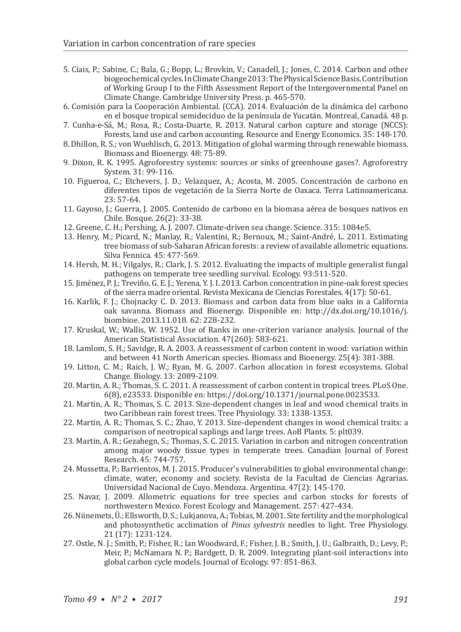- 5. Ciais, P.; Sabine, C.; Bala, G.; Bopp, L.; Brovkin, V.; Canadell, J.; Jones, C. 2014. Carbon and other biogeochemical cycles. In Climate Change 2013: The Physical Science Basis. Contribution of Working Group I to the Fifth Assessment Report of the Intergovernmental Panel on Climate Change. Cambridge University Press. p. 465-570.
- 6. Comisión para la Cooperación Ambiental. (CCA). 2014. Evaluación de la dinámica del carbono en el bosque tropical semideciduo de la península de Yucatán. Montreal, Canadá. 48 p.
- 7. Cunha-e-Sá, M.; Rosa, R.; Costa-Duarte, R. 2013. Natural carbon capture and storage (NCCS): Forests, land use and carbon accounting. Resource and Energy Economics. 35: 148-170.
- 8. Dhillon, R. S.; von Wuehlisch, G. 2013. Mitigation of global warming through renewable biomass. Biomass and Bioenergy. 48: 75-89.
- 9. Dixon, R. K. 1995. Agroforestry systems: sources or sinks of greenhouse gases?. Agroforestry System. 31: 99-116.
- 10. Figueroa, C.; Etchevers, J. D.; Velazquez, A.; Acosta, M. 2005. Concentración de carbono en diferentes tipos de vegetación de la Sierra Norte de Oaxaca. Terra Latinoamericana. 23: 57-64.
- 11. Gayoso, J.; Guerra, J. 2005. Contenido de carbono en la biomasa aérea de bosques nativos en Chile. Bosque. 26(2): 33-38.
- 12. Greene, C. H.; Pershing, A. J. 2007. Climate-driven sea change. Science. 315: 1084e5.
- 13. Henry, M.; Picard, N.; Manlay, R.; Valentini, R.; Bernoux, M.; Saint-André, L. 2011. Estimating tree biomass of sub-Saharan African forests: a review of available allometric equations. Silva Fennica. 45: 477-569.
- 14. Hersh, M. H.; Vilgalys, R.; Clark, J. S. 2012. Evaluating the impacts of multiple generalist fungal pathogens on temperate tree seedling survival. Ecology. 93:511-520.
- 15. Jiménez, P. J.; Treviño, G. E. J.; Yerena, Y. J. I. 2013. Carbon concentration in pine-oak forest species of the sierra madre oriental. Revista Mexicana de Ciencias Forestales. 4(17): 50-61.
- 16. Karlik, F. J.; Chojnacky C. D. 2013. Biomass and carbon data from blue oaks in a California oak savanna. Biomass and Bioenergy. Disponible en: http://dx.doi.org/10.1016/j. biombioe. 2013.11.018. 62: 228-232.
- 17. Kruskal, W.; Wallis, W. 1952. Use of Ranks in one-criterion variance analysis. Journal of the American Statistical Association. 47(260): 583-621.
- 18. Lamlom, S. H.; Savidge, R. A. 2003. A reassessment of carbon content in wood: variation within and between 41 North American species. Biomass and Bioenergy. 25(4): 381-388.
- 19. Litton, C. M.; Raich, J. W.; Ryan, M. G. 2007. Carbon allocation in forest ecosystems. Global Change. Biology. 13: 2089-2109.
- 20. Martin, A. R.; Thomas, S. C. 2011. A reassessment of carbon content in tropical trees. PLoS One. 6(8), e23533. Disponible en: https://doi.org/10.1371/journal.pone.0023533.
- 21. Martin, A. R.; Thomas, S. C. 2013. Size-dependent changes in leaf and wood chemical traits in two Caribbean rain forest trees. Tree Physiology. 33: 1338-1353.
- 22. Martin, A. R.; Thomas, S. C.; Zhao, Y. 2013. Size-dependent changes in wood chemical traits: a comparison of neotropical saplings and large trees. AoB Plants. 5: plt039.
- 23. Martin, A. R.; Gezahegn, S.; Thomas, S. C. 2015. Variation in carbon and nitrogen concentration among major woody tissue types in temperate trees. Canadian Journal of Forest Research. 45: 744-757.
- 24. Mussetta, P.; Barrientos, M. J. 2015. Producer's vulnerabilities to global environmental change: climate, water, economy and society. Revista de la Facultad de Ciencias Agrarias. Universidad Nacional de Cuyo. Mendoza. Argentina. 47(2): 145-170.
- 25. Navar, J. 2009. Allometric equations for tree species and carbon stocks for forests of northwestern Mexico. Forest Ecology and Management. 257: 427-434.
- 26. Niinemets, Ü.; Ellsworth, D. S.; Lukjanova, A.; Tobias, M. 2001. Site fertility and the morphological and photosynthetic acclimation of *Pinus sylvestris* needles to light. Tree Physiology. 21 (17): 1231-124.
- 27. Ostle, N. J.; Smith, P.; Fisher, R.; Ian Woodward, F.; Fisher, J. B.; Smith, J. U.; Galbraith, D.; Levy, P.; Meir, P.; McNamara N. P.; Bardgett, D. R. 2009. Integrating plant-soil interactions into global carbon cycle models. Journal of Ecology. 97: 851-863.